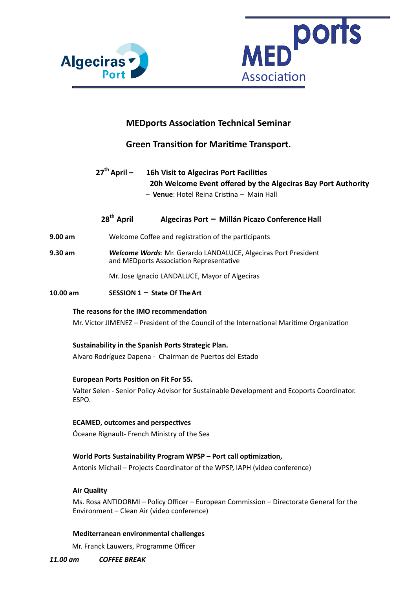



## **MEDports Association Technical Seminar**

## **Green Transition for Maritime Transport.**

27<sup>th</sup> April – 16h Visit to Algeciras Port Facilities **20h Welcome Event offered by the Algeciras Bay Port Authority** – **Venue**: Hotel Reina Cristina – Main Hall

# **28th April Algeciras Port – Millán Picazo ConferenceHall**

- **9.00 am** Welcome Coffee and registration of the participants
- **9.30 am** *Welcome Words*: Mr. Gerardo LANDALUCE, Algeciras Port President and MEDports Association Representative

Mr. Jose Ignacio LANDALUCE, Mayor of Algeciras

**10.00 am SESSION 1 – State Of TheArt**

#### The reasons for the IMO recommendation

Mr. Victor JIMENEZ - President of the Council of the International Maritime Organization

**Sustainability in the Spanish Ports Strategic Plan.** 

Alvaro Rodríguez Dapena - Chairman de Puertos del Estado

#### **European Ports Position on Fit For 55.**

Valter Selen - Senior Policy Advisor for Sustainable Development and Ecoports Coordinator. ESPO. 

#### **ECAMED, outcomes and perspectives**

Óceane Rignault- French Ministry of the Sea 

### World Ports Sustainability Program WPSP - Port call optimization,

Antonis Michail - Projects Coordinator of the WPSP, IAPH (video conference)

#### **Air Quality**

Ms. Rosa ANTIDORMI - Policy Officer - European Commission - Directorate General for the Environment - Clean Air (video conference)

#### **Mediterranean environmental challenges**

Mr. Franck Lauwers, Programme Officer